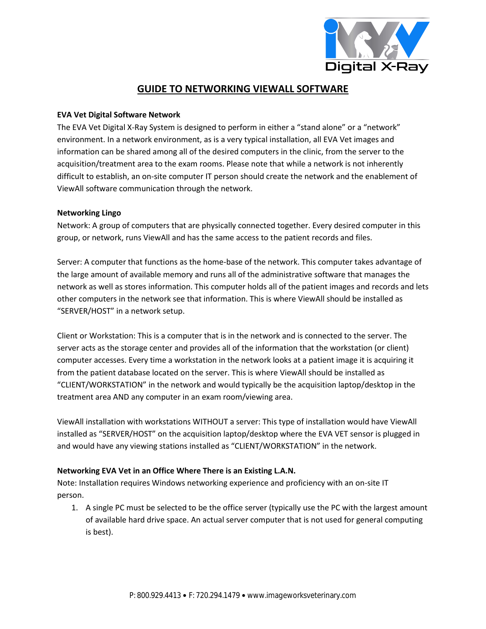

# **GUIDE TO NETWORKING VIEWALL SOFTWARE**

### **EVA Vet Digital Software Network**

The EVA Vet Digital X-Ray System is designed to perform in either a "stand alone" or a "network" environment. In a network environment, as is a very typical installation, all EVA Vet images and information can be shared among all of the desired computers in the clinic, from the server to the acquisition/treatment area to the exam rooms. Please note that while a network is not inherently difficult to establish, an on-site computer IT person should create the network and the enablement of ViewAll software communication through the network.

#### **Networking Lingo**

Network: A group of computers that are physically connected together. Every desired computer in this group, or network, runs ViewAll and has the same access to the patient records and files.

Server: A computer that functions as the home-base of the network. This computer takes advantage of the large amount of available memory and runs all of the administrative software that manages the network as well as stores information. This computer holds all of the patient images and records and lets other computers in the network see that information. This is where ViewAll should be installed as "SERVER/HOST" in a network setup.

Client or Workstation: This is a computer that is in the network and is connected to the server. The server acts as the storage center and provides all of the information that the workstation (or client) computer accesses. Every time a workstation in the network looks at a patient image it is acquiring it from the patient database located on the server. This is where ViewAll should be installed as "CLIENT/WORKSTATION" in the network and would typically be the acquisition laptop/desktop in the treatment area AND any computer in an exam room/viewing area.

ViewAll installation with workstations WITHOUT a server: This type of installation would have ViewAll installed as "SERVER/HOST" on the acquisition laptop/desktop where the EVA VET sensor is plugged in and would have any viewing stations installed as "CLIENT/WORKSTATION" in the network.

### **Networking EVA Vet in an Office Where There is an Existing L.A.N.**

Note: Installation requires Windows networking experience and proficiency with an on-site IT person.

1. A single PC must be selected to be the office server (typically use the PC with the largest amount of available hard drive space. An actual server computer that is not used for general computing is best).